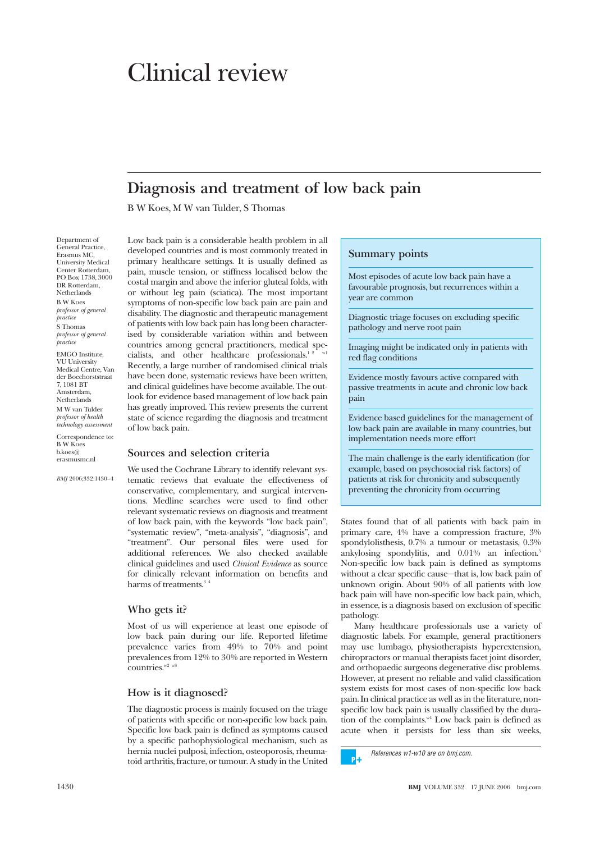# Clinical review

# **Diagnosis and treatment of low back pain**

B W Koes, M W van Tulder, S Thomas

Department of General Practice, Erasmus MC, University Medical Center Rotterdam, PO Box 1738, 3000 DR Rotterdam, **Netherlands** B W Koes *professor of general practice* S Thomas *professor of general practice* EMGO Institute, VU University Medical Centre, Van der Boechorststraat

7, 1081 BT Amsterdam, **Netherlands** M W van Tulder *professor of health technology assessment*

Correspondence to: B W Koes b.koes@ erasmusmc.nl

*BMJ* 2006;332:1430–4

Low back pain is a considerable health problem in all developed countries and is most commonly treated in primary healthcare settings. It is usually defined as pain, muscle tension, or stiffness localised below the costal margin and above the inferior gluteal folds, with or without leg pain (sciatica). The most important symptoms of non-specific low back pain are pain and disability. The diagnostic and therapeutic management of patients with low back pain has long been characterised by considerable variation within and between countries among general practitioners, medical specialists, and other healthcare professionals.<sup>12</sup> w1 Recently, a large number of randomised clinical trials have been done, systematic reviews have been written, and clinical guidelines have become available. The outlook for evidence based management of low back pain has greatly improved. This review presents the current state of science regarding the diagnosis and treatment of low back pain.

#### **Sources and selection criteria**

We used the Cochrane Library to identify relevant systematic reviews that evaluate the effectiveness of conservative, complementary, and surgical interventions. Medline searches were used to find other relevant systematic reviews on diagnosis and treatment of low back pain, with the keywords "low back pain", "systematic review", "meta-analysis", "diagnosis", and "treatment". Our personal files were used for additional references. We also checked available clinical guidelines and used *Clinical Evidence* as source for clinically relevant information on benefits and harms of treatments.<sup>34</sup>

#### **Who gets it?**

Most of us will experience at least one episode of low back pain during our life. Reported lifetime prevalence varies from 49% to 70% and point prevalences from 12% to 30% are reported in Western countries. $w^2$  w<sub>3</sub>

#### **How is it diagnosed?**

The diagnostic process is mainly focused on the triage of patients with specific or non-specific low back pain. Specific low back pain is defined as symptoms caused by a specific pathophysiological mechanism, such as hernia nuclei pulposi, infection, osteoporosis, rheumatoid arthritis, fracture, or tumour. A study in the United

# **Summary points**

Most episodes of acute low back pain have a favourable prognosis, but recurrences within a year are common

Diagnostic triage focuses on excluding specific pathology and nerve root pain

Imaging might be indicated only in patients with red flag conditions

Evidence mostly favours active compared with passive treatments in acute and chronic low back pain

Evidence based guidelines for the management of low back pain are available in many countries, but implementation needs more effort

The main challenge is the early identification (for example, based on psychosocial risk factors) of patients at risk for chronicity and subsequently preventing the chronicity from occurring

States found that of all patients with back pain in primary care, 4% have a compression fracture, 3% spondylolisthesis, 0.7% a tumour or metastasis, 0.3% ankylosing spondylitis, and 0.01% an infection.5 Non-specific low back pain is defined as symptoms without a clear specific cause—that is, low back pain of unknown origin. About 90% of all patients with low back pain will have non-specific low back pain, which, in essence, is a diagnosis based on exclusion of specific pathology.

Many healthcare professionals use a variety of diagnostic labels. For example, general practitioners may use lumbago, physiotherapists hyperextension, chiropractors or manual therapists facet joint disorder, and orthopaedic surgeons degenerative disc problems. However, at present no reliable and valid classification system exists for most cases of non-specific low back pain. In clinical practice as well as in the literature, nonspecific low back pain is usually classified by the duration of the complaints. $N<sup>4</sup>$  Low back pain is defined as acute when it persists for less than six weeks,

References w1-w10 are on bmj.com. - pla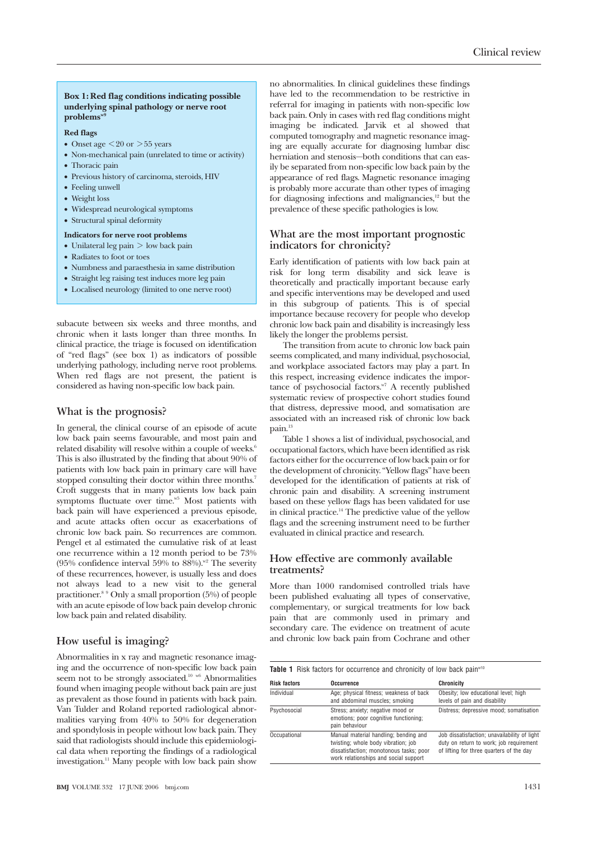#### **Box 1: Red flag conditions indicating possible underlying spinal pathology or nerve root** problems"

# **Red flags**

- Onset age  $\leq$  20 or  $>$  55 years
- Non-mechanical pain (unrelated to time or activity)
- Thoracic pain
- Previous history of carcinoma, steroids, HIV
- Feeling unwell
- Weight loss
- Widespread neurological symptoms
- Structural spinal deformity

#### **Indicators for nerve root problems**

- Unilateral leg pain > low back pain
- Radiates to foot or toes
- Numbness and paraesthesia in same distribution
- Straight leg raising test induces more leg pain
- Localised neurology (limited to one nerve root)

subacute between six weeks and three months, and chronic when it lasts longer than three months. In clinical practice, the triage is focused on identification of "red flags" (see box 1) as indicators of possible underlying pathology, including nerve root problems. When red flags are not present, the patient is considered as having non-specific low back pain.

# **What is the prognosis?**

In general, the clinical course of an episode of acute low back pain seems favourable, and most pain and related disability will resolve within a couple of weeks.<sup>6</sup> This is also illustrated by the finding that about 90% of patients with low back pain in primary care will have stopped consulting their doctor within three months.<sup>7</sup> Croft suggests that in many patients low back pain symptoms fluctuate over time.<sup>w5</sup> Most patients with back pain will have experienced a previous episode, and acute attacks often occur as exacerbations of chronic low back pain. So recurrences are common. Pengel et al estimated the cumulative risk of at least one recurrence within a 12 month period to be 73% (95% confidence interval 59% to  $88\%$ ).<sup>w2</sup> The severity of these recurrences, however, is usually less and does not always lead to a new visit to the general practitioner.8 9 Only a small proportion (5%) of people with an acute episode of low back pain develop chronic low back pain and related disability.

# **How useful is imaging?**

Abnormalities in x ray and magnetic resonance imaging and the occurrence of non-specific low back pain seem not to be strongly associated.<sup>10</sup> w<sup>6</sup> Abnormalities found when imaging people without back pain are just as prevalent as those found in patients with back pain. Van Tulder and Roland reported radiological abnormalities varying from 40% to 50% for degeneration and spondylosis in people without low back pain. They said that radiologists should include this epidemiological data when reporting the findings of a radiological investigation.11 Many people with low back pain show no abnormalities. In clinical guidelines these findings have led to the recommendation to be restrictive in referral for imaging in patients with non-specific low back pain. Only in cases with red flag conditions might imaging be indicated. Jarvik et al showed that computed tomography and magnetic resonance imaging are equally accurate for diagnosing lumbar disc herniation and stenosis—both conditions that can easily be separated from non-specific low back pain by the appearance of red flags. Magnetic resonance imaging is probably more accurate than other types of imaging for diagnosing infections and malignancies, $12$  but the prevalence of these specific pathologies is low.

# **What are the most important prognostic indicators for chronicity?**

Early identification of patients with low back pain at risk for long term disability and sick leave is theoretically and practically important because early and specific interventions may be developed and used in this subgroup of patients. This is of special importance because recovery for people who develop chronic low back pain and disability is increasingly less likely the longer the problems persist.

The transition from acute to chronic low back pain seems complicated, and many individual, psychosocial, and workplace associated factors may play a part. In this respect, increasing evidence indicates the importance of psychosocial factors.<sup>w7</sup> A recently published systematic review of prospective cohort studies found that distress, depressive mood, and somatisation are associated with an increased risk of chronic low back pain.<sup>13</sup>

Table 1 shows a list of individual, psychosocial, and occupational factors, which have been identified as risk factors either for the occurrence of low back pain or for the development of chronicity. "Yellow flags" have been developed for the identification of patients at risk of chronic pain and disability. A screening instrument based on these yellow flags has been validated for use in clinical practice.<sup>14</sup> The predictive value of the yellow flags and the screening instrument need to be further evaluated in clinical practice and research.

# **How effective are commonly available treatments?**

More than 1000 randomised controlled trials have been published evaluating all types of conservative, complementary, or surgical treatments for low back pain that are commonly used in primary and secondary care. The evidence on treatment of acute and chronic low back pain from Cochrane and other

Table 1 Risk factors for occurrence and chronicity of low back pain<sup>w10</sup>

| <b>Risk factors</b> | Occurrence                                                                                                                                                       | <b>Chronicity</b>                                                                                                                   |
|---------------------|------------------------------------------------------------------------------------------------------------------------------------------------------------------|-------------------------------------------------------------------------------------------------------------------------------------|
| Individual          | Age; physical fitness; weakness of back<br>and abdominal muscles; smoking                                                                                        | Obesity; low educational level; high<br>levels of pain and disability                                                               |
| Psychosocial        | Stress; anxiety; negative mood or<br>emotions; poor cognitive functioning;<br>pain behaviour                                                                     | Distress; depressive mood; somatisation                                                                                             |
| Occupational        | Manual material handling; bending and<br>twisting; whole body vibration; job<br>dissatisfaction; monotonous tasks; poor<br>work relationships and social support | Job dissatisfaction; unavailability of light<br>duty on return to work; job requirement<br>of lifting for three quarters of the day |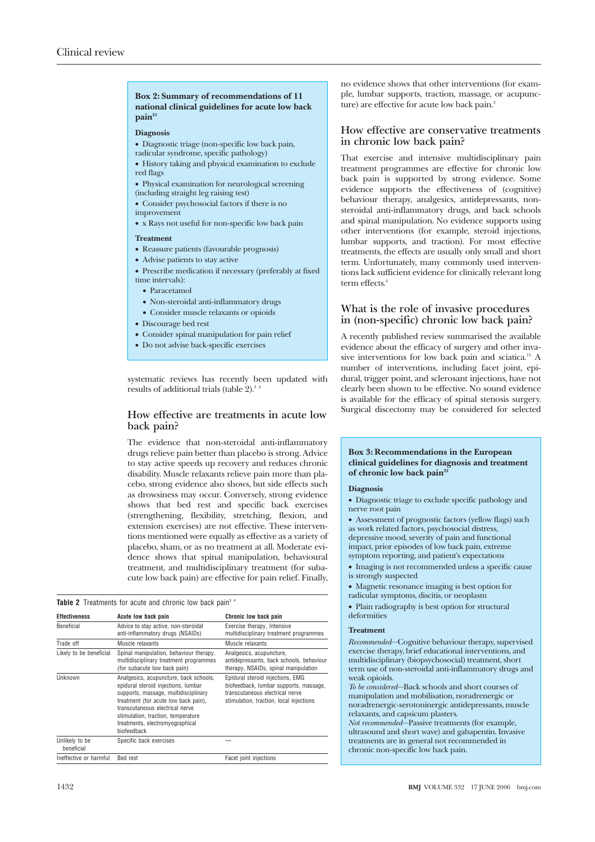#### **Box 2: Summary of recommendations of 11 national clinical guidelines for acute low back**  $\mathbf{pain}^{21}$

#### **Diagnosis**

- Diagnostic triage (non-specific low back pain,
- radicular syndrome, specific pathology)
- History taking and physical examination to exclude red flags
- Physical examination for neurological screening (including straight leg raising test)
- Consider psychosocial factors if there is no improvement
- x Rays not useful for non-specific low back pain

#### **Treatment**

- Reassure patients (favourable prognosis)
- Advise patients to stay active
- Prescribe medication if necessary (preferably at fixed time intervals):
	- Paracetamol
	- Non-steroidal anti-inflammatory drugs
- Consider muscle relaxants or opioids
- Discourage bed rest
- Consider spinal manipulation for pain relief
- Do not advise back-specific exercises

systematic reviews has recently been updated with results of additional trials (table  $2$ ).<sup>3</sup>

#### **How effective are treatments in acute low back pain?**

The evidence that non-steroidal anti-inflammatory drugs relieve pain better than placebo is strong. Advice to stay active speeds up recovery and reduces chronic disability. Muscle relaxants relieve pain more than placebo, strong evidence also shows, but side effects such as drowsiness may occur. Conversely, strong evidence shows that bed rest and specific back exercises (strengthening, flexibility, stretching, flexion, and extension exercises) are not effective. These interventions mentioned were equally as effective as a variety of placebo, sham, or as no treatment at all. Moderate evidence shows that spinal manipulation, behavioural treatment, and multidisciplinary treatment (for subacute low back pain) are effective for pain relief. Finally,

|  | <b>Table 2</b> Treatments for acute and chronic low back pain <sup>3</sup> <sup>4</sup> |  |  |  |  |  |  |  |
|--|-----------------------------------------------------------------------------------------|--|--|--|--|--|--|--|
|--|-----------------------------------------------------------------------------------------|--|--|--|--|--|--|--|

| <b>Effectiveness</b>         | Acute low back pain                                                                                                                                                                                                                                                                      | Chronic low back pain                                                                                                                                    |  |  |  |
|------------------------------|------------------------------------------------------------------------------------------------------------------------------------------------------------------------------------------------------------------------------------------------------------------------------------------|----------------------------------------------------------------------------------------------------------------------------------------------------------|--|--|--|
| Beneficial                   | Advice to stay active, non-steroidal<br>anti-inflammatory drugs (NSAIDs)                                                                                                                                                                                                                 | Exercise therapy, Intensive<br>multidisciplinary treatment programmes                                                                                    |  |  |  |
| Trade off                    | Muscle relaxants                                                                                                                                                                                                                                                                         | Muscle relaxants                                                                                                                                         |  |  |  |
| Likely to be beneficial      | Spinal manipulation, behaviour therapy,<br>multidisciplinary treatment programmes<br>(for subacute low back pain)                                                                                                                                                                        | Analgesics, acupuncture,<br>antidepressants, back schools, behaviour<br>therapy, NSAIDs, spinal manipulation                                             |  |  |  |
| Unknown                      | Analgesics, acupuncture, back schools,<br>epidural steroid injections, lumbar<br>supports, massage, multidisciplinary<br>treatment (for acute low back pain),<br>transcutaneous electrical nerve<br>stimulation, traction, temperature<br>treatments, electromyographical<br>biofeedback | Epidural steroid injections, EMG<br>biofeedback, lumbar supports, massage,<br>transcutaneous electrical nerve<br>stimulation, traction, local injections |  |  |  |
| Unlikely to be<br>beneficial | Specific back exercises                                                                                                                                                                                                                                                                  |                                                                                                                                                          |  |  |  |
| Ineffective or harmful       | Bed rest                                                                                                                                                                                                                                                                                 | Facet joint injections                                                                                                                                   |  |  |  |

no evidence shows that other interventions (for example, lumbar supports, traction, massage, or acupuncture) are effective for acute low back pain.<sup>3</sup>

## **How effective are conservative treatments in chronic low back pain?**

That exercise and intensive multidisciplinary pain treatment programmes are effective for chronic low back pain is supported by strong evidence. Some evidence supports the effectiveness of (cognitive) behaviour therapy, analgesics, antidepressants, nonsteroidal anti-inflammatory drugs, and back schools and spinal manipulation. No evidence supports using other interventions (for example, steroid injections, lumbar supports, and traction). For most effective treatments, the effects are usually only small and short term. Unfortunately, many commonly used interventions lack sufficient evidence for clinically relevant long term effects<sup>4</sup>

# **What is the role of invasive procedures in (non-specific) chronic low back pain?**

A recently published review summarised the available evidence about the efficacy of surgery and other invasive interventions for low back pain and sciatica.15 A number of interventions, including facet joint, epidural, trigger point, and sclerosant injections, have not clearly been shown to be effective. No sound evidence is available for the efficacy of spinal stenosis surgery. Surgical discectomy may be considered for selected

#### **Box 3: Recommendations in the European clinical guidelines for diagnosis and treatment** of chronic low back pain<sup>22</sup>

#### **Diagnosis**

• Diagnostic triage to exclude specific pathology and nerve root pain

• Assessment of prognostic factors (yellow flags) such as work related factors, psychosocial distress, depressive mood, severity of pain and functional impact, prior episodes of low back pain, extreme symptom reporting, and patient's expectations

- Imaging is not recommended unless a specific cause is strongly suspected
- Magnetic resonance imaging is best option for
- radicular symptoms, discitis, or neoplasm
- Plain radiography is best option for structural deformities

#### **Treatment**

*Recommended*—Cognitive behaviour therapy, supervised exercise therapy, brief educational interventions, and multidisciplinary (biopsychosocial) treatment, short term use of non-steroidal anti-inflammatory drugs and weak opioids.

*To be considered*—Back schools and short courses of manipulation and mobilisation, noradrenergic or noradrenergic-serotoninergic antidepressants, muscle relaxants, and capsicum plasters.

*Not recommended*—Passive treatments (for example, ultrasound and short wave) and gabapentin. Invasive treatments are in general not recommended in chronic non-specific low back pain.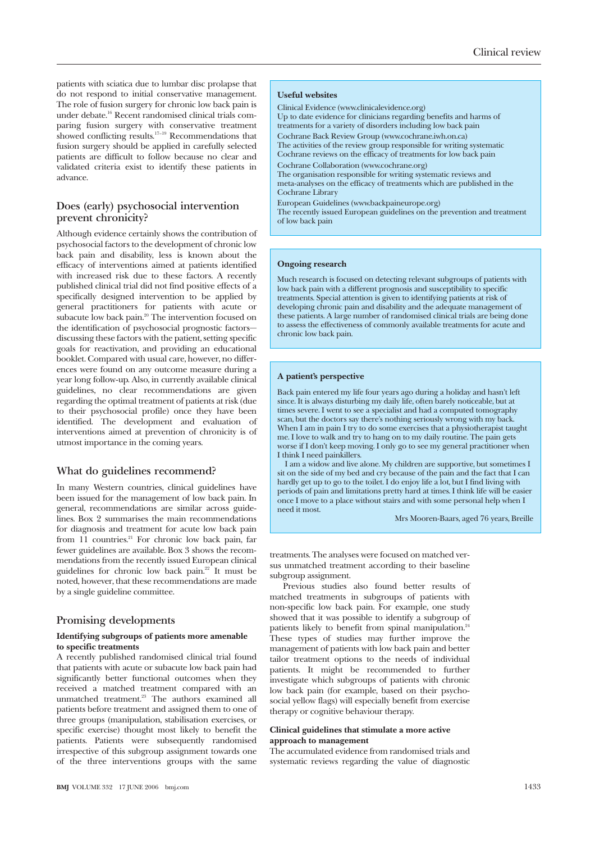patients with sciatica due to lumbar disc prolapse that do not respond to initial conservative management. The role of fusion surgery for chronic low back pain is under debate.16 Recent randomised clinical trials comparing fusion surgery with conservative treatment showed conflicting results.<sup>17-19</sup> Recommendations that fusion surgery should be applied in carefully selected patients are difficult to follow because no clear and validated criteria exist to identify these patients in advance.

# **Does (early) psychosocial intervention prevent chronicity?**

Although evidence certainly shows the contribution of psychosocial factors to the development of chronic low back pain and disability, less is known about the efficacy of interventions aimed at patients identified with increased risk due to these factors. A recently published clinical trial did not find positive effects of a specifically designed intervention to be applied by general practitioners for patients with acute or subacute low back pain.<sup>20</sup> The intervention focused on the identification of psychosocial prognostic factors discussing these factors with the patient, setting specific goals for reactivation, and providing an educational booklet. Compared with usual care, however, no differences were found on any outcome measure during a year long follow-up. Also, in currently available clinical guidelines, no clear recommendations are given regarding the optimal treatment of patients at risk (due to their psychosocial profile) once they have been identified. The development and evaluation of interventions aimed at prevention of chronicity is of utmost importance in the coming years.

# **What do guidelines recommend?**

In many Western countries, clinical guidelines have been issued for the management of low back pain. In general, recommendations are similar across guidelines. Box 2 summarises the main recommendations for diagnosis and treatment for acute low back pain from 11 countries.<sup>21</sup> For chronic low back pain, far fewer guidelines are available. Box 3 shows the recommendations from the recently issued European clinical guidelines for chronic low back pain.22 It must be noted, however, that these recommendations are made by a single guideline committee.

#### **Promising developments**

#### **Identifying subgroups of patients more amenable to specific treatments**

A recently published randomised clinical trial found that patients with acute or subacute low back pain had significantly better functional outcomes when they received a matched treatment compared with an unmatched treatment.<sup>23</sup> The authors examined all patients before treatment and assigned them to one of three groups (manipulation, stabilisation exercises, or specific exercise) thought most likely to benefit the patients. Patients were subsequently randomised irrespective of this subgroup assignment towards one of the three interventions groups with the same

#### **Useful websites**

Clinical Evidence (www.clinicalevidence.org)

Up to date evidence for clinicians regarding benefits and harms of treatments for a variety of disorders including low back pain Cochrane Back Review Group (www.cochrane.iwh.on.ca)

The activities of the review group responsible for writing systematic Cochrane reviews on the efficacy of treatments for low back pain

Cochrane Collaboration (www.cochrane.org)

The organisation responsible for writing systematic reviews and meta-analyses on the efficacy of treatments which are published in the Cochrane Library

European Guidelines (www.backpaineurope.org)

The recently issued European guidelines on the prevention and treatment of low back pain

#### **Ongoing research**

Much research is focused on detecting relevant subgroups of patients with low back pain with a different prognosis and susceptibility to specific treatments. Special attention is given to identifying patients at risk of developing chronic pain and disability and the adequate management of these patients. A large number of randomised clinical trials are being done to assess the effectiveness of commonly available treatments for acute and chronic low back pain.

#### **A patient's perspective**

Back pain entered my life four years ago during a holiday and hasn't left since. It is always disturbing my daily life, often barely noticeable, but at times severe. I went to see a specialist and had a computed tomography scan, but the doctors say there's nothing seriously wrong with my back. When I am in pain I try to do some exercises that a physiotherapist taught me. I love to walk and try to hang on to my daily routine. The pain gets worse if I don't keep moving. I only go to see my general practitioner when I think I need painkillers.

I am a widow and live alone. My children are supportive, but sometimes I sit on the side of my bed and cry because of the pain and the fact that I can hardly get up to go to the toilet. I do enjoy life a lot, but I find living with periods of pain and limitations pretty hard at times. I think life will be easier once I move to a place without stairs and with some personal help when I need it most.

Mrs Mooren-Baars, aged 76 years, Breille

treatments. The analyses were focused on matched versus unmatched treatment according to their baseline subgroup assignment.

Previous studies also found better results of matched treatments in subgroups of patients with non-specific low back pain. For example, one study showed that it was possible to identify a subgroup of patients likely to benefit from spinal manipulation.<sup>24</sup> These types of studies may further improve the management of patients with low back pain and better tailor treatment options to the needs of individual patients. It might be recommended to further investigate which subgroups of patients with chronic low back pain (for example, based on their psychosocial yellow flags) will especially benefit from exercise therapy or cognitive behaviour therapy.

#### **Clinical guidelines that stimulate a more active approach to management**

The accumulated evidence from randomised trials and systematic reviews regarding the value of diagnostic